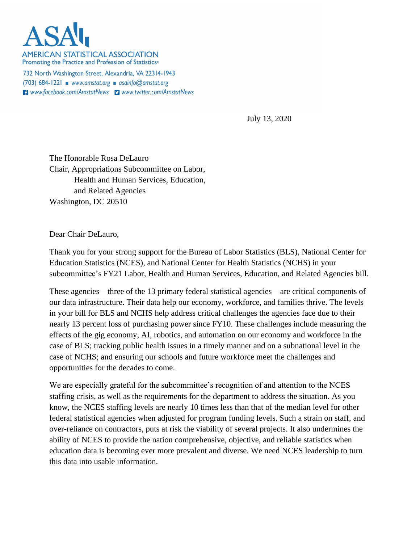**AMERICAN STATISTICAL ASSOCIATION** Promoting the Practice and Profession of Statistics®

732 North Washington Street, Alexandria, VA 22314-1943  $(703)$  684-1221 www.amstat.org asainfo@amstat.org **El** www.facebook.com/AmstatNews **D** www.twitter.com/AmstatNews

July 13, 2020

The Honorable Rosa DeLauro Chair, Appropriations Subcommittee on Labor, Health and Human Services, Education, and Related Agencies Washington, DC 20510

Dear Chair DeLauro,

Thank you for your strong support for the Bureau of Labor Statistics (BLS), National Center for Education Statistics (NCES), and National Center for Health Statistics (NCHS) in your subcommittee's FY21 Labor, Health and Human Services, Education, and Related Agencies bill.

These agencies—three of the 13 primary federal statistical agencies—are critical components of our data infrastructure. Their data help our economy, workforce, and families thrive. The levels in your bill for BLS and NCHS help address critical challenges the agencies face due to their nearly 13 percent loss of purchasing power since FY10. These challenges include measuring the effects of the gig economy, AI, robotics, and automation on our economy and workforce in the case of BLS; tracking public health issues in a timely manner and on a subnational level in the case of NCHS; and ensuring our schools and future workforce meet the challenges and opportunities for the decades to come.

We are especially grateful for the subcommittee's recognition of and attention to the NCES staffing crisis, as well as the requirements for the department to address the situation. As you know, the NCES staffing levels are nearly 10 times less than that of the median level for other federal statistical agencies when adjusted for program funding levels. Such a strain on staff, and over-reliance on contractors, puts at risk the viability of several projects. It also undermines the ability of NCES to provide the nation comprehensive, objective, and reliable statistics when education data is becoming ever more prevalent and diverse. We need NCES leadership to turn this data into usable information.